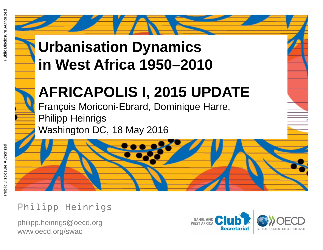# **Urbanisation Dynamics in West Africa 1950–2010**

# **AFRICAPOLIS I, 2015 UPDATE**

François Moriconi-Ebrard, Dominique Harre,<br>Pulli Philipp Heinrigs Washington DC, 18 May 2016

Philipp Heinrigs

philipp.heinrigs@oecd.org www.oecd.or g/swac

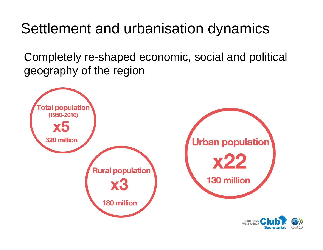## Settlement and urbanisation dynamics

Completely re-shaped economic, social and political geography of the region



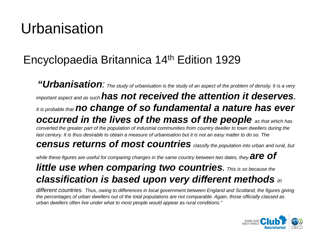## Urbanisation

#### Encyclopaedia Britannica 14th Edition 1929

*"Urbanisation: The study of urbanisation is the study of an aspect of the problem of density. It is a very important aspect and as such has not received the attention it deserves. It is probable that no change of so fundamental a nature has ever occurred in the lives of the mass of the people as that which has converted the greater part of the population of industrial communities from country dweller to town dwellers during the last century. It is thus desirable to obtain a measure of urbanisation but it is not an easy matter to do so. The census returns of most countries classify the population into urban and rural, but while these figures are useful for comparing changes in the same country between two dates, they*  $\overline{a}$ *re*  $\overline{of}$ *little use when comparing two countries. This is so because the classification is based upon very different methods in* 

*different countries. Thus, owing to differences in local government between England and Scotland, the figures giving the percentages of urban dwellers out of the total populations are not comparable. Again, those officially classed as urban dwellers often live under what to most people would appear as rural conditions."*

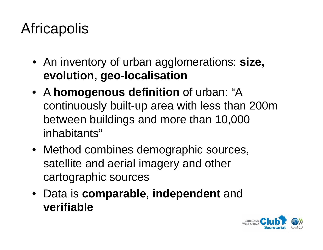# **Africapolis**

- An inventory of urban agglomerations: **size, evolution, geo-localisation**
- A **homogenous definition** of urban: "A continuously built-up area with less than 200m between buildings and more than 10,000 inhabitants"
- Method combines demographic sources, satellite and aerial imagery and other cartographic sources
- Data is **comparable**, **independent** and **verifiable**

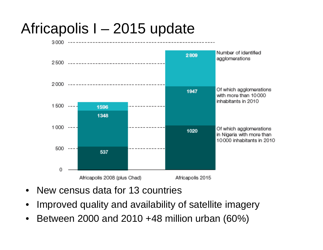## Africapolis I – 2015 update



- •New census data for 13 countries
- •Improved quality and availability of satellite imagery
- •Between 2000 and 2010 +48 million urban (60%)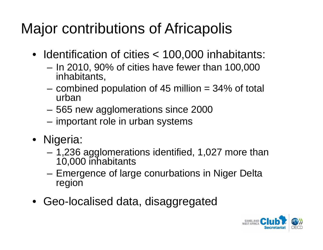# Major contributions of Africapolis

- Identification of cities < 100,000 inhabitants:
	- – In 2010, 90% of cities have fewer than 100,000 inhabitants,
	- – combined population of 45 million = 34% of total urban
	- 565 new agglomerations since 2000
	- important role in urban systems
- Nigeria:
	- 1,236 agglomerations identified, 1,027 more than 10,000 inhabitants
	- Emergence of large conurbations in Niger Delta region
- Geo-localised data, disaggregated

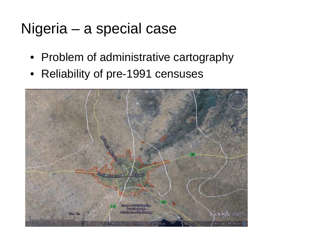## Nigeria – a special case

- Problem of administrative cartography
- Reliability of pre-1991 censuses

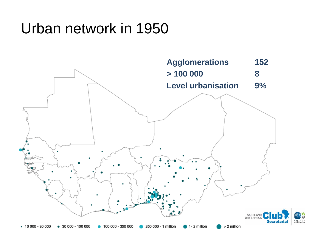## Urban network in 1950

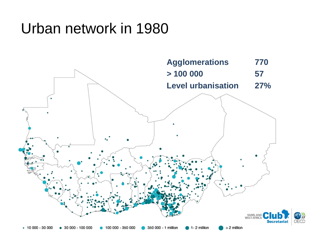## Urban network in 1980

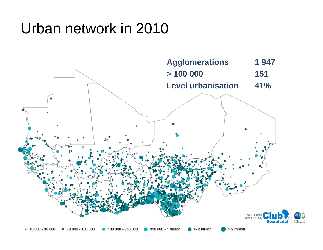## Urban network in 2010

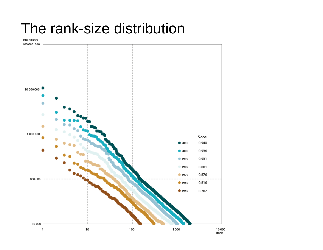#### The rank-size distribution

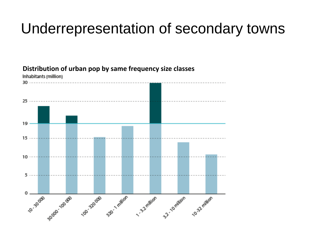### Underrepresentation of secondary towns



**Distribution of urban pop by same frequency size classes**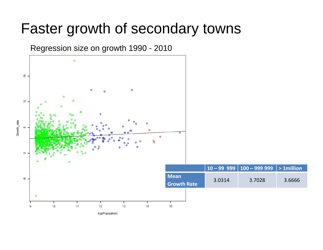#### Faster growth of secondary towns

Regression size on growth 1990 - 2010

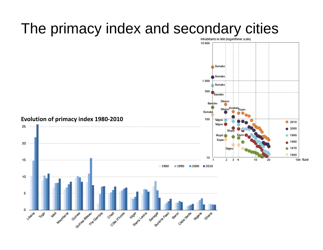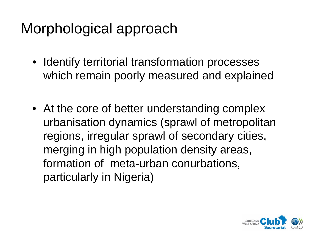## Morphological approach

- Identify territorial transformation processes which remain poorly measured and explained
- At the core of better understanding complex urbanisation dynamics (sprawl of metropolitan regions, irregular sprawl of secondary cities, merging in high population density areas, formation of meta-urban conurbations, particularly in Nigeria)

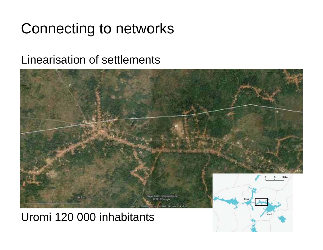## Connecting to networks

#### Linearisation of settlements



Uromi 120 000 inhabitants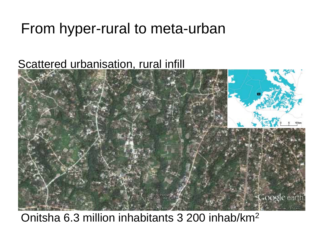## From hyper-rural to meta-urban

#### Scattered urbanisation, rural infill



#### Onitsha 6.3 million inhabitants 3 200 inhab/km2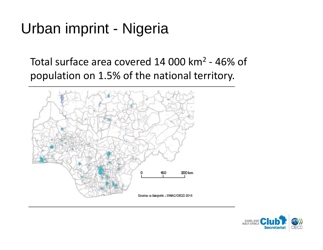## Urban imprint - Nigeria

Total surface area covered 14 000 km<sup>2</sup> - 46% of population on 1.5% of the national territory.



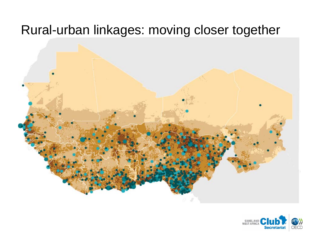#### Rural-urban linkages: moving closer together